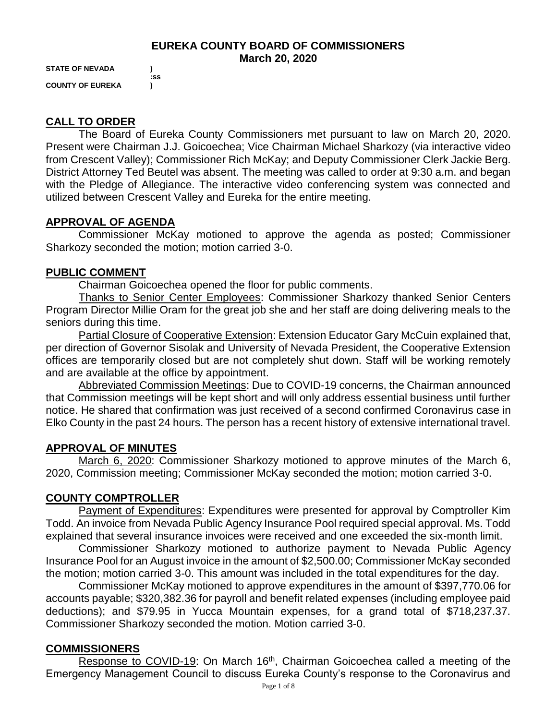#### **EUREKA COUNTY BOARD OF COMMISSIONERS March 20, 2020**

**STATE OF NEVADA ) COUNTY OF EUREKA )**

 **:ss**

# **CALL TO ORDER**

The Board of Eureka County Commissioners met pursuant to law on March 20, 2020. Present were Chairman J.J. Goicoechea; Vice Chairman Michael Sharkozy (via interactive video from Crescent Valley); Commissioner Rich McKay; and Deputy Commissioner Clerk Jackie Berg. District Attorney Ted Beutel was absent. The meeting was called to order at 9:30 a.m. and began with the Pledge of Allegiance. The interactive video conferencing system was connected and utilized between Crescent Valley and Eureka for the entire meeting.

# **APPROVAL OF AGENDA**

Commissioner McKay motioned to approve the agenda as posted; Commissioner Sharkozy seconded the motion; motion carried 3-0.

# **PUBLIC COMMENT**

Chairman Goicoechea opened the floor for public comments.

Thanks to Senior Center Employees: Commissioner Sharkozy thanked Senior Centers Program Director Millie Oram for the great job she and her staff are doing delivering meals to the seniors during this time.

Partial Closure of Cooperative Extension: Extension Educator Gary McCuin explained that, per direction of Governor Sisolak and University of Nevada President, the Cooperative Extension offices are temporarily closed but are not completely shut down. Staff will be working remotely and are available at the office by appointment.

Abbreviated Commission Meetings: Due to COVID-19 concerns, the Chairman announced that Commission meetings will be kept short and will only address essential business until further notice. He shared that confirmation was just received of a second confirmed Coronavirus case in Elko County in the past 24 hours. The person has a recent history of extensive international travel.

### **APPROVAL OF MINUTES**

March 6, 2020: Commissioner Sharkozy motioned to approve minutes of the March 6, 2020, Commission meeting; Commissioner McKay seconded the motion; motion carried 3-0.

# **COUNTY COMPTROLLER**

Payment of Expenditures: Expenditures were presented for approval by Comptroller Kim Todd. An invoice from Nevada Public Agency Insurance Pool required special approval. Ms. Todd explained that several insurance invoices were received and one exceeded the six-month limit.

Commissioner Sharkozy motioned to authorize payment to Nevada Public Agency Insurance Pool for an August invoice in the amount of \$2,500.00; Commissioner McKay seconded the motion; motion carried 3-0. This amount was included in the total expenditures for the day.

Commissioner McKay motioned to approve expenditures in the amount of \$397,770.06 for accounts payable; \$320,382.36 for payroll and benefit related expenses (including employee paid deductions); and \$79.95 in Yucca Mountain expenses, for a grand total of \$718,237.37. Commissioner Sharkozy seconded the motion. Motion carried 3-0.

# **COMMISSIONERS**

Response to COVID-19: On March 16<sup>th</sup>, Chairman Goicoechea called a meeting of the Emergency Management Council to discuss Eureka County's response to the Coronavirus and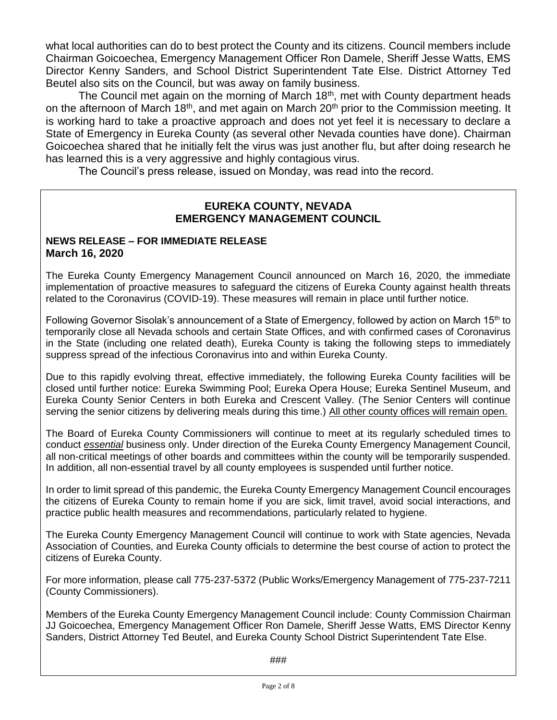what local authorities can do to best protect the County and its citizens. Council members include Chairman Goicoechea, Emergency Management Officer Ron Damele, Sheriff Jesse Watts, EMS Director Kenny Sanders, and School District Superintendent Tate Else. District Attorney Ted Beutel also sits on the Council, but was away on family business.

The Council met again on the morning of March 18<sup>th</sup>, met with County department heads on the afternoon of March 18<sup>th</sup>, and met again on March 20<sup>th</sup> prior to the Commission meeting. It is working hard to take a proactive approach and does not yet feel it is necessary to declare a State of Emergency in Eureka County (as several other Nevada counties have done). Chairman Goicoechea shared that he initially felt the virus was just another flu, but after doing research he has learned this is a very aggressive and highly contagious virus.

The Council's press release, issued on Monday, was read into the record.

### **EUREKA COUNTY, NEVADA EMERGENCY MANAGEMENT COUNCIL**

#### **NEWS RELEASE – FOR IMMEDIATE RELEASE March 16, 2020**

The Eureka County Emergency Management Council announced on March 16, 2020, the immediate implementation of proactive measures to safeguard the citizens of Eureka County against health threats related to the Coronavirus (COVID-19). These measures will remain in place until further notice.

Following Governor Sisolak's announcement of a State of Emergency, followed by action on March 15<sup>th</sup> to temporarily close all Nevada schools and certain State Offices, and with confirmed cases of Coronavirus in the State (including one related death), Eureka County is taking the following steps to immediately suppress spread of the infectious Coronavirus into and within Eureka County.

Due to this rapidly evolving threat, effective immediately, the following Eureka County facilities will be closed until further notice: Eureka Swimming Pool; Eureka Opera House; Eureka Sentinel Museum, and Eureka County Senior Centers in both Eureka and Crescent Valley. (The Senior Centers will continue serving the senior citizens by delivering meals during this time.) All other county offices will remain open.

The Board of Eureka County Commissioners will continue to meet at its regularly scheduled times to conduct *essential* business only. Under direction of the Eureka County Emergency Management Council, all non-critical meetings of other boards and committees within the county will be temporarily suspended. In addition, all non-essential travel by all county employees is suspended until further notice.

In order to limit spread of this pandemic, the Eureka County Emergency Management Council encourages the citizens of Eureka County to remain home if you are sick, limit travel, avoid social interactions, and practice public health measures and recommendations, particularly related to hygiene.

The Eureka County Emergency Management Council will continue to work with State agencies, Nevada Association of Counties, and Eureka County officials to determine the best course of action to protect the citizens of Eureka County.

For more information, please call 775-237-5372 (Public Works/Emergency Management of 775-237-7211 (County Commissioners).

Members of the Eureka County Emergency Management Council include: County Commission Chairman JJ Goicoechea, Emergency Management Officer Ron Damele, Sheriff Jesse Watts, EMS Director Kenny Sanders, District Attorney Ted Beutel, and Eureka County School District Superintendent Tate Else.

###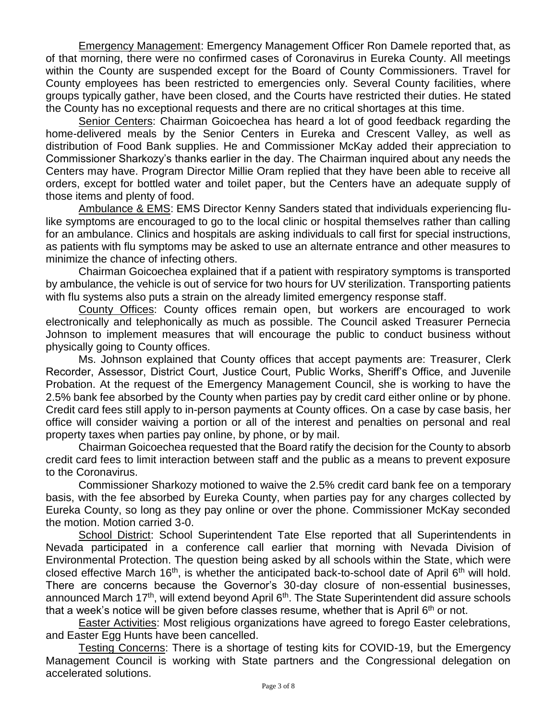Emergency Management: Emergency Management Officer Ron Damele reported that, as of that morning, there were no confirmed cases of Coronavirus in Eureka County. All meetings within the County are suspended except for the Board of County Commissioners. Travel for County employees has been restricted to emergencies only. Several County facilities, where groups typically gather, have been closed, and the Courts have restricted their duties. He stated the County has no exceptional requests and there are no critical shortages at this time.

Senior Centers: Chairman Goicoechea has heard a lot of good feedback regarding the home-delivered meals by the Senior Centers in Eureka and Crescent Valley, as well as distribution of Food Bank supplies. He and Commissioner McKay added their appreciation to Commissioner Sharkozy's thanks earlier in the day. The Chairman inquired about any needs the Centers may have. Program Director Millie Oram replied that they have been able to receive all orders, except for bottled water and toilet paper, but the Centers have an adequate supply of those items and plenty of food.

Ambulance & EMS: EMS Director Kenny Sanders stated that individuals experiencing flulike symptoms are encouraged to go to the local clinic or hospital themselves rather than calling for an ambulance. Clinics and hospitals are asking individuals to call first for special instructions, as patients with flu symptoms may be asked to use an alternate entrance and other measures to minimize the chance of infecting others.

Chairman Goicoechea explained that if a patient with respiratory symptoms is transported by ambulance, the vehicle is out of service for two hours for UV sterilization. Transporting patients with flu systems also puts a strain on the already limited emergency response staff.

County Offices: County offices remain open, but workers are encouraged to work electronically and telephonically as much as possible. The Council asked Treasurer Pernecia Johnson to implement measures that will encourage the public to conduct business without physically going to County offices.

Ms. Johnson explained that County offices that accept payments are: Treasurer, Clerk Recorder, Assessor, District Court, Justice Court, Public Works, Sheriff's Office, and Juvenile Probation. At the request of the Emergency Management Council, she is working to have the 2.5% bank fee absorbed by the County when parties pay by credit card either online or by phone. Credit card fees still apply to in-person payments at County offices. On a case by case basis, her office will consider waiving a portion or all of the interest and penalties on personal and real property taxes when parties pay online, by phone, or by mail.

Chairman Goicoechea requested that the Board ratify the decision for the County to absorb credit card fees to limit interaction between staff and the public as a means to prevent exposure to the Coronavirus.

Commissioner Sharkozy motioned to waive the 2.5% credit card bank fee on a temporary basis, with the fee absorbed by Eureka County, when parties pay for any charges collected by Eureka County, so long as they pay online or over the phone. Commissioner McKay seconded the motion. Motion carried 3-0.

School District: School Superintendent Tate Else reported that all Superintendents in Nevada participated in a conference call earlier that morning with Nevada Division of Environmental Protection. The question being asked by all schools within the State, which were closed effective March 16<sup>th</sup>, is whether the anticipated back-to-school date of April 6<sup>th</sup> will hold. There are concerns because the Governor's 30-day closure of non-essential businesses, announced March 17<sup>th</sup>, will extend beyond April 6<sup>th</sup>. The State Superintendent did assure schools that a week's notice will be given before classes resume, whether that is April  $6<sup>th</sup>$  or not.

Easter Activities: Most religious organizations have agreed to forego Easter celebrations, and Easter Egg Hunts have been cancelled.

Testing Concerns: There is a shortage of testing kits for COVID-19, but the Emergency Management Council is working with State partners and the Congressional delegation on accelerated solutions.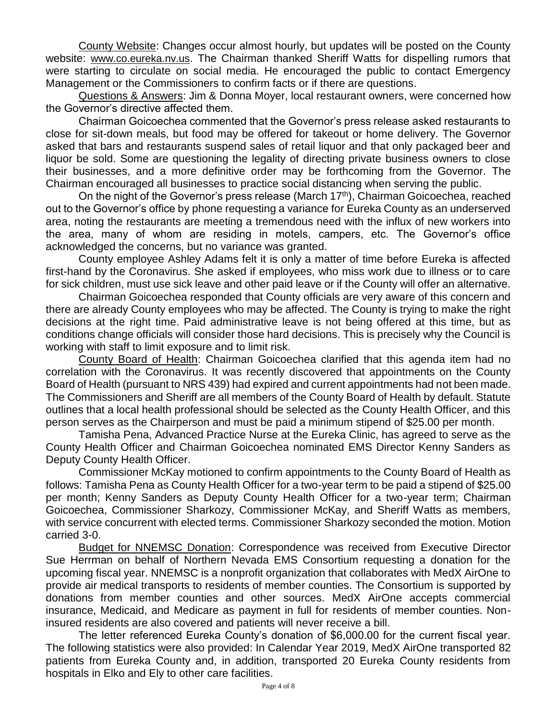County Website: Changes occur almost hourly, but updates will be posted on the County website: [www.co.eureka.nv.us](http://www.co.eureka.nv.us/). The Chairman thanked Sheriff Watts for dispelling rumors that were starting to circulate on social media. He encouraged the public to contact Emergency Management or the Commissioners to confirm facts or if there are questions.

Questions & Answers: Jim & Donna Moyer, local restaurant owners, were concerned how the Governor's directive affected them.

Chairman Goicoechea commented that the Governor's press release asked restaurants to close for sit-down meals, but food may be offered for takeout or home delivery. The Governor asked that bars and restaurants suspend sales of retail liquor and that only packaged beer and liquor be sold. Some are questioning the legality of directing private business owners to close their businesses, and a more definitive order may be forthcoming from the Governor. The Chairman encouraged all businesses to practice social distancing when serving the public.

On the night of the Governor's press release (March 17<sup>th</sup>), Chairman Goicoechea, reached out to the Governor's office by phone requesting a variance for Eureka County as an underserved area, noting the restaurants are meeting a tremendous need with the influx of new workers into the area, many of whom are residing in motels, campers, etc. The Governor's office acknowledged the concerns, but no variance was granted.

County employee Ashley Adams felt it is only a matter of time before Eureka is affected first-hand by the Coronavirus. She asked if employees, who miss work due to illness or to care for sick children, must use sick leave and other paid leave or if the County will offer an alternative.

Chairman Goicoechea responded that County officials are very aware of this concern and there are already County employees who may be affected. The County is trying to make the right decisions at the right time. Paid administrative leave is not being offered at this time, but as conditions change officials will consider those hard decisions. This is precisely why the Council is working with staff to limit exposure and to limit risk.

County Board of Health: Chairman Goicoechea clarified that this agenda item had no correlation with the Coronavirus. It was recently discovered that appointments on the County Board of Health (pursuant to NRS 439) had expired and current appointments had not been made. The Commissioners and Sheriff are all members of the County Board of Health by default. Statute outlines that a local health professional should be selected as the County Health Officer, and this person serves as the Chairperson and must be paid a minimum stipend of \$25.00 per month.

Tamisha Pena, Advanced Practice Nurse at the Eureka Clinic, has agreed to serve as the County Health Officer and Chairman Goicoechea nominated EMS Director Kenny Sanders as Deputy County Health Officer.

Commissioner McKay motioned to confirm appointments to the County Board of Health as follows: Tamisha Pena as County Health Officer for a two-year term to be paid a stipend of \$25.00 per month; Kenny Sanders as Deputy County Health Officer for a two-year term; Chairman Goicoechea, Commissioner Sharkozy, Commissioner McKay, and Sheriff Watts as members, with service concurrent with elected terms. Commissioner Sharkozy seconded the motion. Motion carried 3-0.

Budget for NNEMSC Donation: Correspondence was received from Executive Director Sue Herrman on behalf of Northern Nevada EMS Consortium requesting a donation for the upcoming fiscal year. NNEMSC is a nonprofit organization that collaborates with MedX AirOne to provide air medical transports to residents of member counties. The Consortium is supported by donations from member counties and other sources. MedX AirOne accepts commercial insurance, Medicaid, and Medicare as payment in full for residents of member counties. Noninsured residents are also covered and patients will never receive a bill.

The letter referenced Eureka County's donation of \$6,000.00 for the current fiscal year. The following statistics were also provided: In Calendar Year 2019, MedX AirOne transported 82 patients from Eureka County and, in addition, transported 20 Eureka County residents from hospitals in Elko and Ely to other care facilities.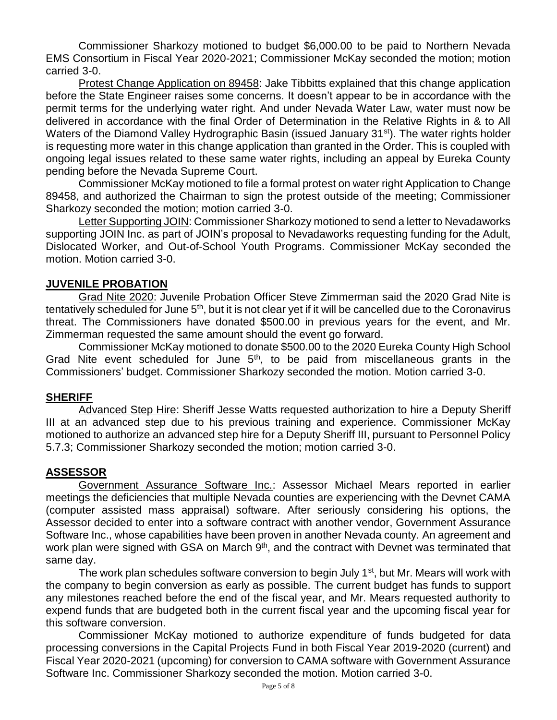Commissioner Sharkozy motioned to budget \$6,000.00 to be paid to Northern Nevada EMS Consortium in Fiscal Year 2020-2021; Commissioner McKay seconded the motion; motion carried 3-0.

Protest Change Application on 89458: Jake Tibbitts explained that this change application before the State Engineer raises some concerns. It doesn't appear to be in accordance with the permit terms for the underlying water right. And under Nevada Water Law, water must now be delivered in accordance with the final Order of Determination in the Relative Rights in & to All Waters of the Diamond Valley Hydrographic Basin (issued January 31<sup>st</sup>). The water rights holder is requesting more water in this change application than granted in the Order. This is coupled with ongoing legal issues related to these same water rights, including an appeal by Eureka County pending before the Nevada Supreme Court.

Commissioner McKay motioned to file a formal protest on water right Application to Change 89458, and authorized the Chairman to sign the protest outside of the meeting; Commissioner Sharkozy seconded the motion; motion carried 3-0.

Letter Supporting JOIN: Commissioner Sharkozy motioned to send a letter to Nevadaworks supporting JOIN Inc. as part of JOIN's proposal to Nevadaworks requesting funding for the Adult, Dislocated Worker, and Out-of-School Youth Programs. Commissioner McKay seconded the motion. Motion carried 3-0.

#### **JUVENILE PROBATION**

Grad Nite 2020: Juvenile Probation Officer Steve Zimmerman said the 2020 Grad Nite is tentatively scheduled for June 5<sup>th</sup>, but it is not clear yet if it will be cancelled due to the Coronavirus threat. The Commissioners have donated \$500.00 in previous years for the event, and Mr. Zimmerman requested the same amount should the event go forward.

Commissioner McKay motioned to donate \$500.00 to the 2020 Eureka County High School Grad Nite event scheduled for June  $5<sup>th</sup>$ , to be paid from miscellaneous grants in the Commissioners' budget. Commissioner Sharkozy seconded the motion. Motion carried 3-0.

### **SHERIFF**

Advanced Step Hire: Sheriff Jesse Watts requested authorization to hire a Deputy Sheriff III at an advanced step due to his previous training and experience. Commissioner McKay motioned to authorize an advanced step hire for a Deputy Sheriff III, pursuant to Personnel Policy 5.7.3; Commissioner Sharkozy seconded the motion; motion carried 3-0.

#### **ASSESSOR**

Government Assurance Software Inc.: Assessor Michael Mears reported in earlier meetings the deficiencies that multiple Nevada counties are experiencing with the Devnet CAMA (computer assisted mass appraisal) software. After seriously considering his options, the Assessor decided to enter into a software contract with another vendor, Government Assurance Software Inc., whose capabilities have been proven in another Nevada county. An agreement and work plan were signed with GSA on March 9<sup>th</sup>, and the contract with Devnet was terminated that same day.

The work plan schedules software conversion to begin July 1<sup>st</sup>, but Mr. Mears will work with the company to begin conversion as early as possible. The current budget has funds to support any milestones reached before the end of the fiscal year, and Mr. Mears requested authority to expend funds that are budgeted both in the current fiscal year and the upcoming fiscal year for this software conversion.

Commissioner McKay motioned to authorize expenditure of funds budgeted for data processing conversions in the Capital Projects Fund in both Fiscal Year 2019-2020 (current) and Fiscal Year 2020-2021 (upcoming) for conversion to CAMA software with Government Assurance Software Inc. Commissioner Sharkozy seconded the motion. Motion carried 3-0.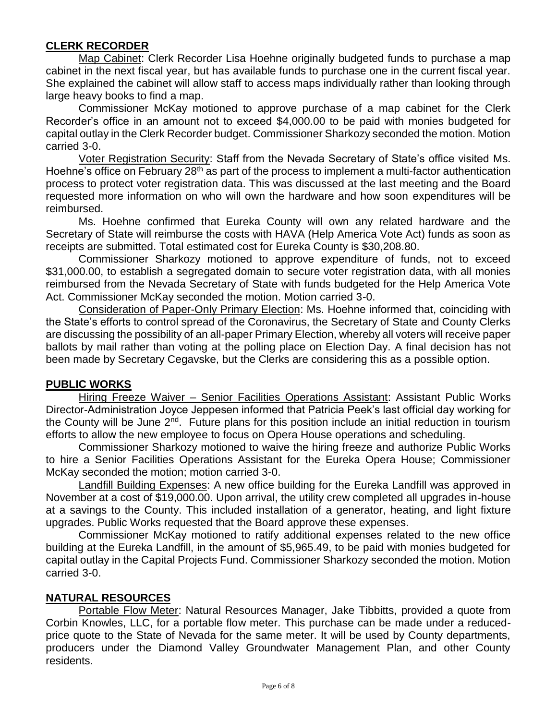### **CLERK RECORDER**

Map Cabinet: Clerk Recorder Lisa Hoehne originally budgeted funds to purchase a map cabinet in the next fiscal year, but has available funds to purchase one in the current fiscal year. She explained the cabinet will allow staff to access maps individually rather than looking through large heavy books to find a map.

Commissioner McKay motioned to approve purchase of a map cabinet for the Clerk Recorder's office in an amount not to exceed \$4,000.00 to be paid with monies budgeted for capital outlay in the Clerk Recorder budget. Commissioner Sharkozy seconded the motion. Motion carried 3-0.

Voter Registration Security: Staff from the Nevada Secretary of State's office visited Ms. Hoehne's office on February 28<sup>th</sup> as part of the process to implement a multi-factor authentication process to protect voter registration data. This was discussed at the last meeting and the Board requested more information on who will own the hardware and how soon expenditures will be reimbursed.

Ms. Hoehne confirmed that Eureka County will own any related hardware and the Secretary of State will reimburse the costs with HAVA (Help America Vote Act) funds as soon as receipts are submitted. Total estimated cost for Eureka County is \$30,208.80.

Commissioner Sharkozy motioned to approve expenditure of funds, not to exceed \$31,000.00, to establish a segregated domain to secure voter registration data, with all monies reimbursed from the Nevada Secretary of State with funds budgeted for the Help America Vote Act. Commissioner McKay seconded the motion. Motion carried 3-0.

Consideration of Paper-Only Primary Election: Ms. Hoehne informed that, coinciding with the State's efforts to control spread of the Coronavirus, the Secretary of State and County Clerks are discussing the possibility of an all-paper Primary Election, whereby all voters will receive paper ballots by mail rather than voting at the polling place on Election Day. A final decision has not been made by Secretary Cegavske, but the Clerks are considering this as a possible option.

### **PUBLIC WORKS**

Hiring Freeze Waiver – Senior Facilities Operations Assistant: Assistant Public Works Director-Administration Joyce Jeppesen informed that Patricia Peek's last official day working for the County will be June 2<sup>nd</sup>. Future plans for this position include an initial reduction in tourism efforts to allow the new employee to focus on Opera House operations and scheduling.

Commissioner Sharkozy motioned to waive the hiring freeze and authorize Public Works to hire a Senior Facilities Operations Assistant for the Eureka Opera House; Commissioner McKay seconded the motion; motion carried 3-0.

Landfill Building Expenses: A new office building for the Eureka Landfill was approved in November at a cost of \$19,000.00. Upon arrival, the utility crew completed all upgrades in-house at a savings to the County. This included installation of a generator, heating, and light fixture upgrades. Public Works requested that the Board approve these expenses.

Commissioner McKay motioned to ratify additional expenses related to the new office building at the Eureka Landfill, in the amount of \$5,965.49, to be paid with monies budgeted for capital outlay in the Capital Projects Fund. Commissioner Sharkozy seconded the motion. Motion carried 3-0.

### **NATURAL RESOURCES**

Portable Flow Meter: Natural Resources Manager, Jake Tibbitts, provided a quote from Corbin Knowles, LLC, for a portable flow meter. This purchase can be made under a reducedprice quote to the State of Nevada for the same meter. It will be used by County departments, producers under the Diamond Valley Groundwater Management Plan, and other County residents.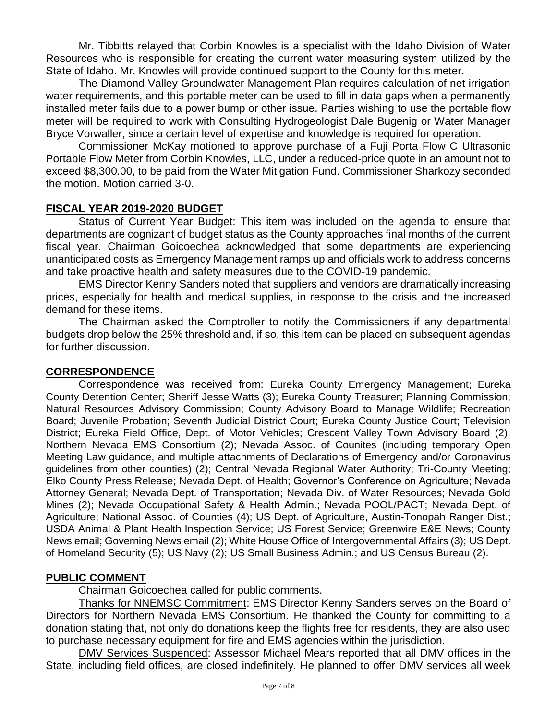Mr. Tibbitts relayed that Corbin Knowles is a specialist with the Idaho Division of Water Resources who is responsible for creating the current water measuring system utilized by the State of Idaho. Mr. Knowles will provide continued support to the County for this meter.

The Diamond Valley Groundwater Management Plan requires calculation of net irrigation water requirements, and this portable meter can be used to fill in data gaps when a permanently installed meter fails due to a power bump or other issue. Parties wishing to use the portable flow meter will be required to work with Consulting Hydrogeologist Dale Bugenig or Water Manager Bryce Vorwaller, since a certain level of expertise and knowledge is required for operation.

Commissioner McKay motioned to approve purchase of a Fuji Porta Flow C Ultrasonic Portable Flow Meter from Corbin Knowles, LLC, under a reduced-price quote in an amount not to exceed \$8,300.00, to be paid from the Water Mitigation Fund. Commissioner Sharkozy seconded the motion. Motion carried 3-0.

### **FISCAL YEAR 2019-2020 BUDGET**

Status of Current Year Budget: This item was included on the agenda to ensure that departments are cognizant of budget status as the County approaches final months of the current fiscal year. Chairman Goicoechea acknowledged that some departments are experiencing unanticipated costs as Emergency Management ramps up and officials work to address concerns and take proactive health and safety measures due to the COVID-19 pandemic.

EMS Director Kenny Sanders noted that suppliers and vendors are dramatically increasing prices, especially for health and medical supplies, in response to the crisis and the increased demand for these items.

The Chairman asked the Comptroller to notify the Commissioners if any departmental budgets drop below the 25% threshold and, if so, this item can be placed on subsequent agendas for further discussion.

### **CORRESPONDENCE**

Correspondence was received from: Eureka County Emergency Management; Eureka County Detention Center; Sheriff Jesse Watts (3); Eureka County Treasurer; Planning Commission; Natural Resources Advisory Commission; County Advisory Board to Manage Wildlife; Recreation Board; Juvenile Probation; Seventh Judicial District Court; Eureka County Justice Court; Television District; Eureka Field Office, Dept. of Motor Vehicles; Crescent Valley Town Advisory Board (2); Northern Nevada EMS Consortium (2); Nevada Assoc. of Counites (including temporary Open Meeting Law guidance, and multiple attachments of Declarations of Emergency and/or Coronavirus guidelines from other counties) (2); Central Nevada Regional Water Authority; Tri-County Meeting; Elko County Press Release; Nevada Dept. of Health; Governor's Conference on Agriculture; Nevada Attorney General; Nevada Dept. of Transportation; Nevada Div. of Water Resources; Nevada Gold Mines (2); Nevada Occupational Safety & Health Admin.; Nevada POOL/PACT; Nevada Dept. of Agriculture; National Assoc. of Counties (4); US Dept. of Agriculture, Austin-Tonopah Ranger Dist.; USDA Animal & Plant Health Inspection Service; US Forest Service; Greenwire E&E News; County News email; Governing News email (2); White House Office of Intergovernmental Affairs (3); US Dept. of Homeland Security (5); US Navy (2); US Small Business Admin.; and US Census Bureau (2).

### **PUBLIC COMMENT**

Chairman Goicoechea called for public comments.

Thanks for NNEMSC Commitment: EMS Director Kenny Sanders serves on the Board of Directors for Northern Nevada EMS Consortium. He thanked the County for committing to a donation stating that, not only do donations keep the flights free for residents, they are also used to purchase necessary equipment for fire and EMS agencies within the jurisdiction.

DMV Services Suspended: Assessor Michael Mears reported that all DMV offices in the State, including field offices, are closed indefinitely. He planned to offer DMV services all week